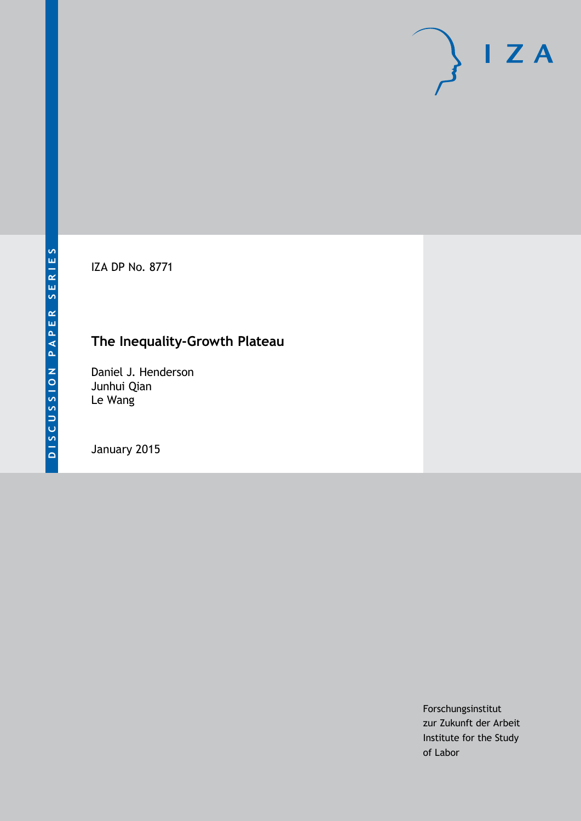IZA DP No. 8771

# **The Inequality-Growth Plateau**

Daniel J. Henderson Junhui Qian Le Wang

January 2015

Forschungsinstitut zur Zukunft der Arbeit Institute for the Study of Labor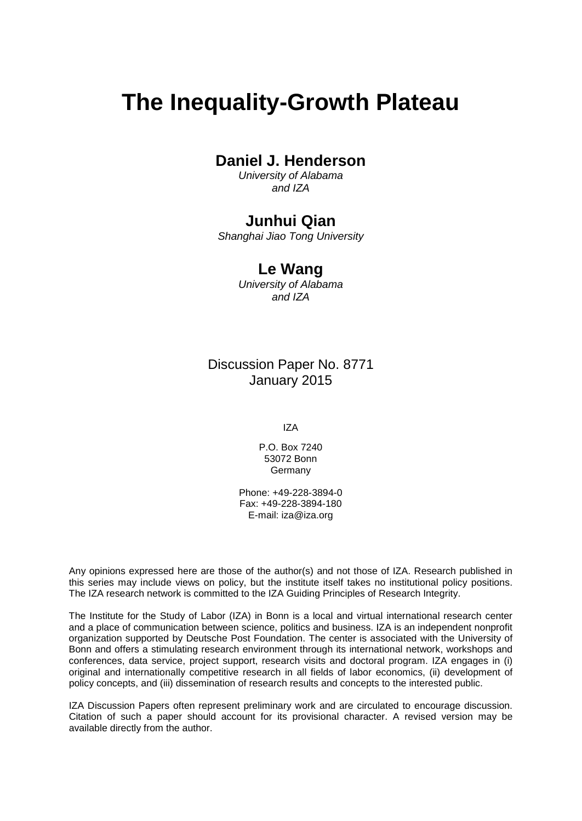# **The Inequality-Growth Plateau**

## **Daniel J. Henderson**

*University of Alabama and IZA*

## **Junhui Qian**

*Shanghai Jiao Tong University*

## **Le Wang**

*University of Alabama and IZA*

Discussion Paper No. 8771 January 2015

IZA

P.O. Box 7240 53072 Bonn Germany

Phone: +49-228-3894-0 Fax: +49-228-3894-180 E-mail: [iza@iza.org](mailto:iza@iza.org)

Any opinions expressed here are those of the author(s) and not those of IZA. Research published in this series may include views on policy, but the institute itself takes no institutional policy positions. The IZA research network is committed to the IZA Guiding Principles of Research Integrity.

The Institute for the Study of Labor (IZA) in Bonn is a local and virtual international research center and a place of communication between science, politics and business. IZA is an independent nonprofit organization supported by Deutsche Post Foundation. The center is associated with the University of Bonn and offers a stimulating research environment through its international network, workshops and conferences, data service, project support, research visits and doctoral program. IZA engages in (i) original and internationally competitive research in all fields of labor economics, (ii) development of policy concepts, and (iii) dissemination of research results and concepts to the interested public.

<span id="page-1-0"></span>IZA Discussion Papers often represent preliminary work and are circulated to encourage discussion. Citation of such a paper should account for its provisional character. A revised version may be available directly from the author.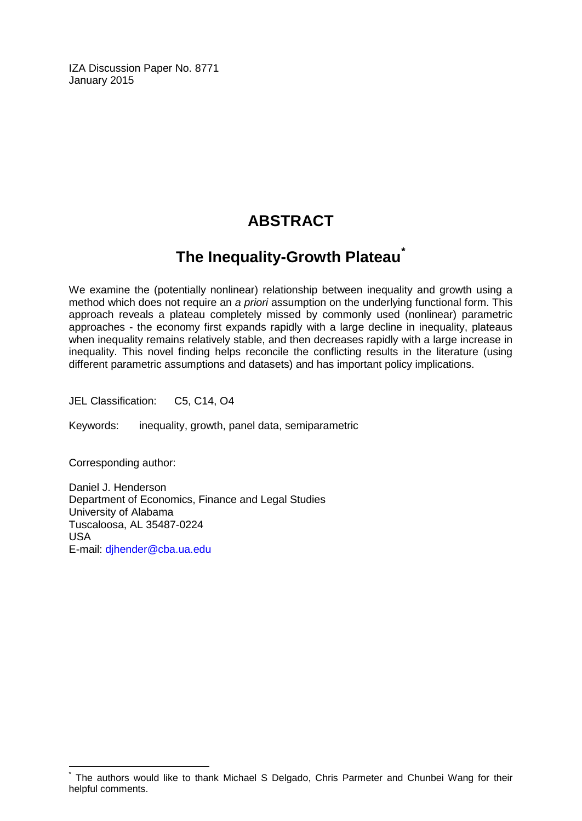IZA Discussion Paper No. 8771 January 2015

# **ABSTRACT**

# **The Inequality-Growth Plateau[\\*](#page-1-0)**

We examine the (potentially nonlinear) relationship between inequality and growth using a method which does not require an *a priori* assumption on the underlying functional form. This approach reveals a plateau completely missed by commonly used (nonlinear) parametric approaches - the economy first expands rapidly with a large decline in inequality, plateaus when inequality remains relatively stable, and then decreases rapidly with a large increase in inequality. This novel finding helps reconcile the conflicting results in the literature (using different parametric assumptions and datasets) and has important policy implications.

JEL Classification: C5, C14, O4

Keywords: inequality, growth, panel data, semiparametric

Corresponding author:

Daniel J. Henderson Department of Economics, Finance and Legal Studies University of Alabama Tuscaloosa, AL 35487-0224 USA E-mail: [djhender@cba.ua.edu](mailto:djhender@cba.ua.edu)

The authors would like to thank Michael S Delgado, Chris Parmeter and Chunbei Wang for their helpful comments.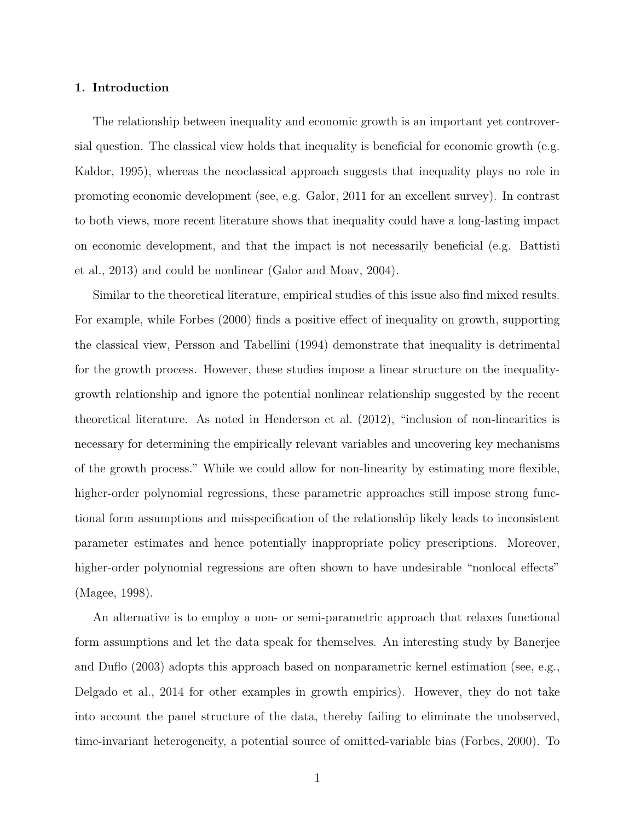#### 1. Introduction

The relationship between inequality and economic growth is an important yet controversial question. The classical view holds that inequality is beneficial for economic growth (e.g. Kaldor, 1995), whereas the neoclassical approach suggests that inequality plays no role in promoting economic development (see, e.g. Galor, 2011 for an excellent survey). In contrast to both views, more recent literature shows that inequality could have a long-lasting impact on economic development, and that the impact is not necessarily beneficial (e.g. Battisti et al., 2013) and could be nonlinear (Galor and Moav, 2004).

Similar to the theoretical literature, empirical studies of this issue also find mixed results. For example, while Forbes (2000) finds a positive effect of inequality on growth, supporting the classical view, Persson and Tabellini (1994) demonstrate that inequality is detrimental for the growth process. However, these studies impose a linear structure on the inequalitygrowth relationship and ignore the potential nonlinear relationship suggested by the recent theoretical literature. As noted in Henderson et al. (2012), "inclusion of non-linearities is necessary for determining the empirically relevant variables and uncovering key mechanisms of the growth process." While we could allow for non-linearity by estimating more flexible, higher-order polynomial regressions, these parametric approaches still impose strong functional form assumptions and misspecification of the relationship likely leads to inconsistent parameter estimates and hence potentially inappropriate policy prescriptions. Moreover, higher-order polynomial regressions are often shown to have undesirable "nonlocal effects" (Magee, 1998).

An alternative is to employ a non- or semi-parametric approach that relaxes functional form assumptions and let the data speak for themselves. An interesting study by Banerjee and Duflo (2003) adopts this approach based on nonparametric kernel estimation (see, e.g., Delgado et al., 2014 for other examples in growth empirics). However, they do not take into account the panel structure of the data, thereby failing to eliminate the unobserved, time-invariant heterogeneity, a potential source of omitted-variable bias (Forbes, 2000). To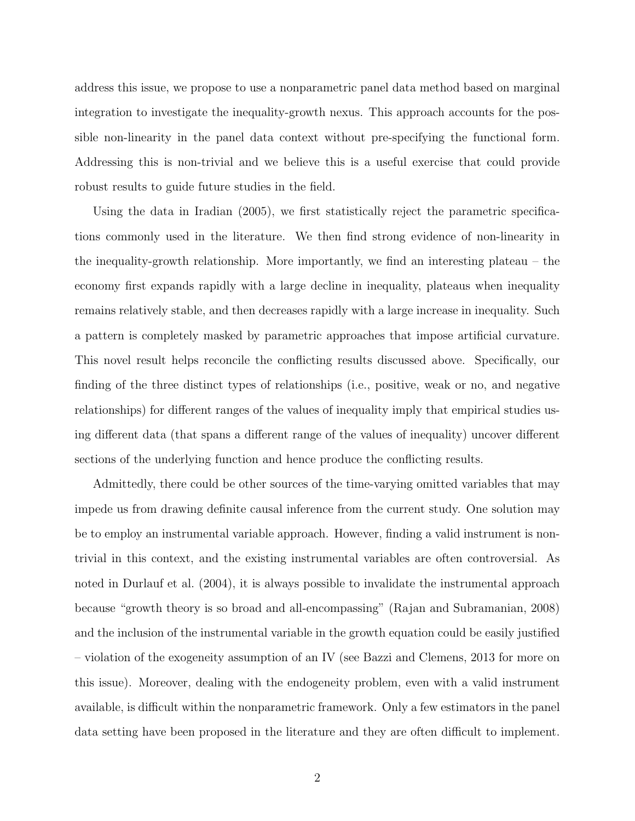address this issue, we propose to use a nonparametric panel data method based on marginal integration to investigate the inequality-growth nexus. This approach accounts for the possible non-linearity in the panel data context without pre-specifying the functional form. Addressing this is non-trivial and we believe this is a useful exercise that could provide robust results to guide future studies in the field.

Using the data in Iradian (2005), we first statistically reject the parametric specifications commonly used in the literature. We then find strong evidence of non-linearity in the inequality-growth relationship. More importantly, we find an interesting plateau – the economy first expands rapidly with a large decline in inequality, plateaus when inequality remains relatively stable, and then decreases rapidly with a large increase in inequality. Such a pattern is completely masked by parametric approaches that impose artificial curvature. This novel result helps reconcile the conflicting results discussed above. Specifically, our finding of the three distinct types of relationships (i.e., positive, weak or no, and negative relationships) for different ranges of the values of inequality imply that empirical studies using different data (that spans a different range of the values of inequality) uncover different sections of the underlying function and hence produce the conflicting results.

Admittedly, there could be other sources of the time-varying omitted variables that may impede us from drawing definite causal inference from the current study. One solution may be to employ an instrumental variable approach. However, finding a valid instrument is nontrivial in this context, and the existing instrumental variables are often controversial. As noted in Durlauf et al. (2004), it is always possible to invalidate the instrumental approach because "growth theory is so broad and all-encompassing" (Rajan and Subramanian, 2008) and the inclusion of the instrumental variable in the growth equation could be easily justified – violation of the exogeneity assumption of an IV (see Bazzi and Clemens, 2013 for more on this issue). Moreover, dealing with the endogeneity problem, even with a valid instrument available, is difficult within the nonparametric framework. Only a few estimators in the panel data setting have been proposed in the literature and they are often difficult to implement.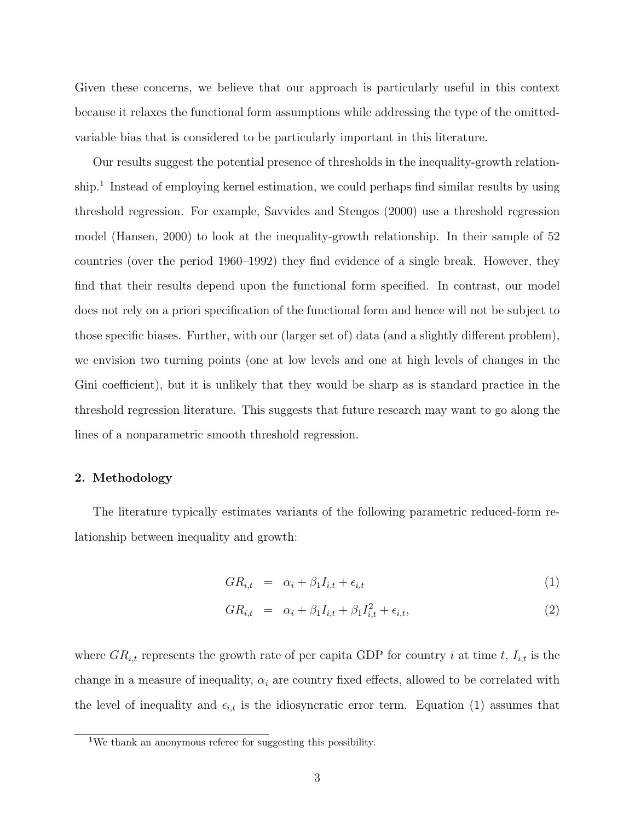Given these concerns, we believe that our approach is particularly useful in this context because it relaxes the functional form assumptions while addressing the type of the omittedvariable bias that is considered to be particularly important in this literature.

Our results suggest the potential presence of thresholds in the inequality-growth relationship.<sup>1</sup> Instead of employing kernel estimation, we could perhaps find similar results by using threshold regression. For example, Savvides and Stengos (2000) use a threshold regression model (Hansen, 2000) to look at the inequality-growth relationship. In their sample of 52 countries (over the period 1960–1992) they find evidence of a single break. However, they find that their results depend upon the functional form specified. In contrast, our model does not rely on a priori specification of the functional form and hence will not be subject to those specific biases. Further, with our (larger set of) data (and a slightly different problem), we envision two turning points (one at low levels and one at high levels of changes in the Gini coefficient), but it is unlikely that they would be sharp as is standard practice in the threshold regression literature. This suggests that future research may want to go along the lines of a nonparametric smooth threshold regression.

#### 2. Methodology

The literature typically estimates variants of the following parametric reduced-form relationship between inequality and growth:

$$
GR_{i,t} = \alpha_i + \beta_1 I_{i,t} + \epsilon_{i,t} \tag{1}
$$

$$
GR_{i,t} = \alpha_i + \beta_1 I_{i,t} + \beta_1 I_{i,t}^2 + \epsilon_{i,t}, \qquad (2)
$$

where  $GR_{i,t}$  represents the growth rate of per capita GDP for country i at time t,  $I_{i,t}$  is the change in a measure of inequality,  $\alpha_i$  are country fixed effects, allowed to be correlated with the level of inequality and  $\epsilon_{i,t}$  is the idiosyncratic error term. Equation (1) assumes that

<sup>&</sup>lt;sup>1</sup>We thank an anonymous referee for suggesting this possibility.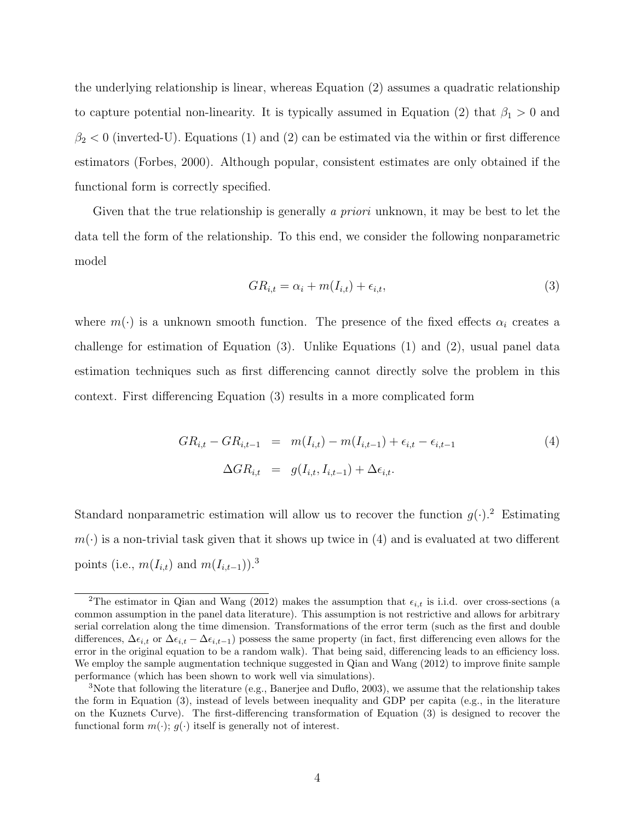the underlying relationship is linear, whereas Equation (2) assumes a quadratic relationship to capture potential non-linearity. It is typically assumed in Equation (2) that  $\beta_1 > 0$  and  $\beta_2$  < 0 (inverted-U). Equations (1) and (2) can be estimated via the within or first difference estimators (Forbes, 2000). Although popular, consistent estimates are only obtained if the functional form is correctly specified.

Given that the true relationship is generally a priori unknown, it may be best to let the data tell the form of the relationship. To this end, we consider the following nonparametric model

$$
GR_{i,t} = \alpha_i + m(I_{i,t}) + \epsilon_{i,t},\tag{3}
$$

where  $m(\cdot)$  is a unknown smooth function. The presence of the fixed effects  $\alpha_i$  creates a challenge for estimation of Equation (3). Unlike Equations (1) and (2), usual panel data estimation techniques such as first differencing cannot directly solve the problem in this context. First differencing Equation (3) results in a more complicated form

$$
GR_{i,t} - GR_{i,t-1} = m(I_{i,t}) - m(I_{i,t-1}) + \epsilon_{i,t} - \epsilon_{i,t-1}
$$
\n
$$
\Delta GR_{i,t} = g(I_{i,t}, I_{i,t-1}) + \Delta \epsilon_{i,t}.
$$
\n(4)

Standard nonparametric estimation will allow us to recover the function  $g(\cdot)$ .<sup>2</sup> Estimating  $m(\cdot)$  is a non-trivial task given that it shows up twice in (4) and is evaluated at two different points (i.e.,  $m(I_{i,t})$  and  $m(I_{i,t-1})$ ).<sup>3</sup>

<sup>&</sup>lt;sup>2</sup>The estimator in Qian and Wang (2012) makes the assumption that  $\epsilon_{i,t}$  is i.i.d. over cross-sections (a common assumption in the panel data literature). This assumption is not restrictive and allows for arbitrary serial correlation along the time dimension. Transformations of the error term (such as the first and double differences,  $\Delta \epsilon_{i,t}$  or  $\Delta \epsilon_{i,t} - \Delta \epsilon_{i,t-1}$ ) possess the same property (in fact, first differencing even allows for the error in the original equation to be a random walk). That being said, differencing leads to an efficiency loss. We employ the sample augmentation technique suggested in Qian and Wang (2012) to improve finite sample performance (which has been shown to work well via simulations).

<sup>3</sup>Note that following the literature (e.g., Banerjee and Duflo, 2003), we assume that the relationship takes the form in Equation (3), instead of levels between inequality and GDP per capita (e.g., in the literature on the Kuznets Curve). The first-differencing transformation of Equation (3) is designed to recover the functional form  $m(\cdot)$ ;  $g(\cdot)$  itself is generally not of interest.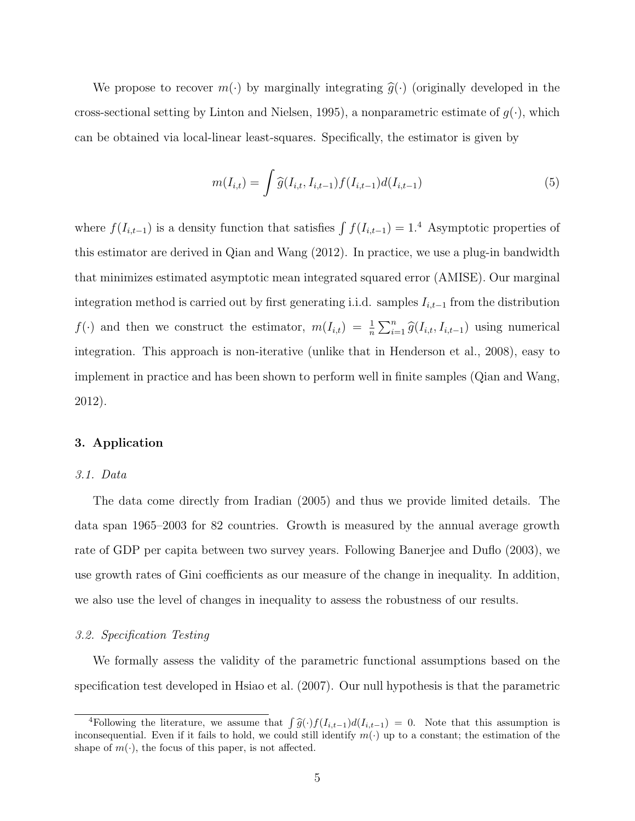We propose to recover  $m(\cdot)$  by marginally integrating  $\hat{g}(\cdot)$  (originally developed in the cross-sectional setting by Linton and Nielsen, 1995), a nonparametric estimate of  $g(\cdot)$ , which can be obtained via local-linear least-squares. Specifically, the estimator is given by

$$
m(I_{i,t}) = \int \widehat{g}(I_{i,t}, I_{i,t-1}) f(I_{i,t-1}) d(I_{i,t-1})
$$
\n(5)

where  $f(I_{i,t-1})$  is a density function that satisfies  $\int f(I_{i,t-1}) = 1.4$  Asymptotic properties of this estimator are derived in Qian and Wang (2012). In practice, we use a plug-in bandwidth that minimizes estimated asymptotic mean integrated squared error (AMISE). Our marginal integration method is carried out by first generating i.i.d. samples  $I_{i,t-1}$  from the distribution  $f(\cdot)$  and then we construct the estimator,  $m(I_{i,t}) = \frac{1}{n} \sum_{i=1}^{n} \hat{g}(I_{i,t}, I_{i,t-1})$  using numerical integration. This approach is non-iterative (unlike that in Henderson et al., 2008), easy to implement in practice and has been shown to perform well in finite samples (Qian and Wang, 2012).

#### 3. Application

#### 3.1. Data

The data come directly from Iradian (2005) and thus we provide limited details. The data span 1965–2003 for 82 countries. Growth is measured by the annual average growth rate of GDP per capita between two survey years. Following Banerjee and Duflo (2003), we use growth rates of Gini coefficients as our measure of the change in inequality. In addition, we also use the level of changes in inequality to assess the robustness of our results.

#### 3.2. Specification Testing

We formally assess the validity of the parametric functional assumptions based on the specification test developed in Hsiao et al. (2007). Our null hypothesis is that the parametric

<sup>&</sup>lt;sup>4</sup>Following the literature, we assume that  $\int \widehat{g}(\cdot) f(I_{i,t-1}) d(I_{i,t-1}) = 0$ . Note that this assumption is approximated Figure is the body we could still identify  $m(\cdot)$  up to a constant; the estimation of the inconsequential. Even if it fails to hold, we could still identify  $m(\cdot)$  up to a constant; the estimation of the shape of  $m(\cdot)$ , the focus of this paper, is not affected.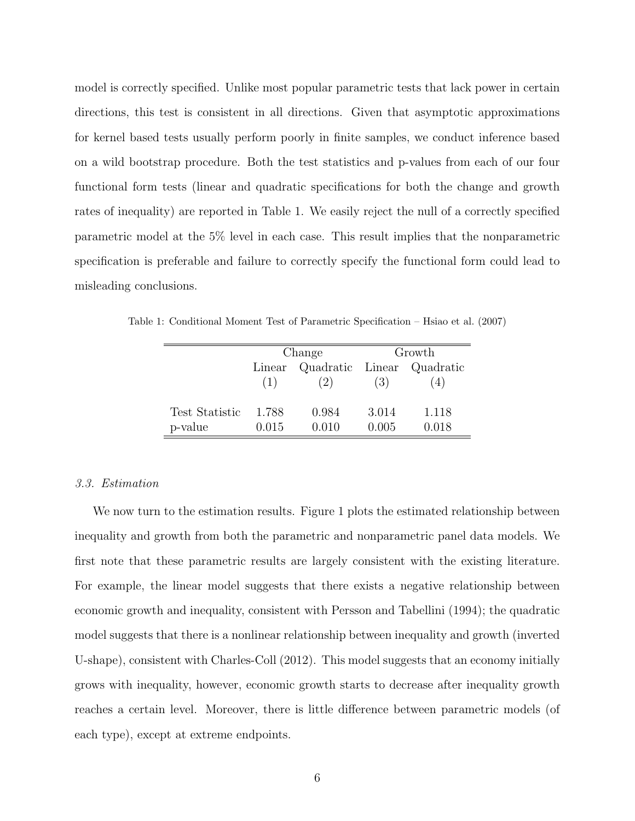model is correctly specified. Unlike most popular parametric tests that lack power in certain directions, this test is consistent in all directions. Given that asymptotic approximations for kernel based tests usually perform poorly in finite samples, we conduct inference based on a wild bootstrap procedure. Both the test statistics and p-values from each of our four functional form tests (linear and quadratic specifications for both the change and growth rates of inequality) are reported in Table 1. We easily reject the null of a correctly specified parametric model at the 5% level in each case. This result implies that the nonparametric specification is preferable and failure to correctly specify the functional form could lead to misleading conclusions.

Table 1: Conditional Moment Test of Parametric Specification – Hsiao et al. (2007)

|                | Change |       | Growth |                            |
|----------------|--------|-------|--------|----------------------------|
|                | Linear |       |        | Quadratic Linear Quadratic |
|                | (1)    | (2)   | (3)    | (4)                        |
|                |        |       |        |                            |
| Test Statistic | 1.788  | 0.984 | 3.014  | 1.118                      |
| p-value        | 0.015  | 0.010 | 0.005  | 0.018                      |

#### 3.3. Estimation

We now turn to the estimation results. Figure 1 plots the estimated relationship between inequality and growth from both the parametric and nonparametric panel data models. We first note that these parametric results are largely consistent with the existing literature. For example, the linear model suggests that there exists a negative relationship between economic growth and inequality, consistent with Persson and Tabellini (1994); the quadratic model suggests that there is a nonlinear relationship between inequality and growth (inverted U-shape), consistent with Charles-Coll (2012). This model suggests that an economy initially grows with inequality, however, economic growth starts to decrease after inequality growth reaches a certain level. Moreover, there is little difference between parametric models (of each type), except at extreme endpoints.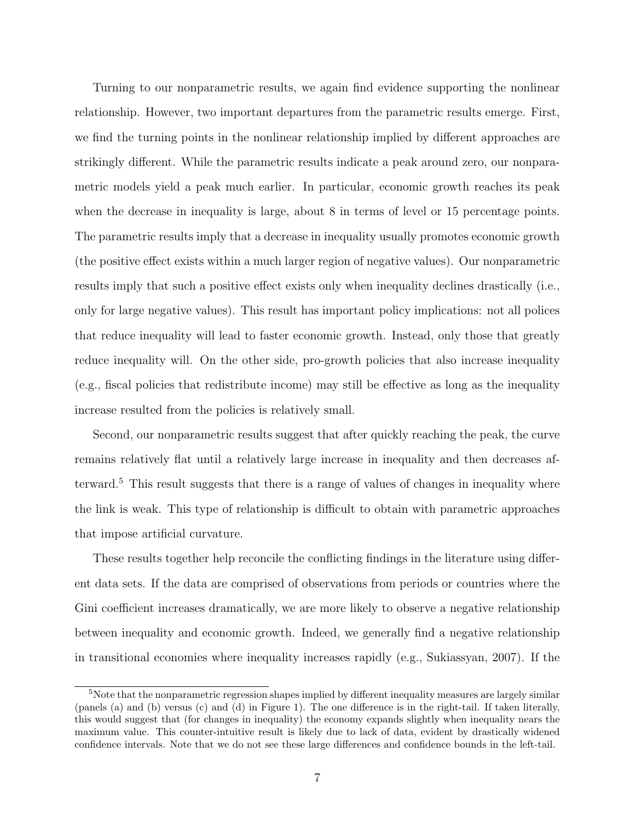Turning to our nonparametric results, we again find evidence supporting the nonlinear relationship. However, two important departures from the parametric results emerge. First, we find the turning points in the nonlinear relationship implied by different approaches are strikingly different. While the parametric results indicate a peak around zero, our nonparametric models yield a peak much earlier. In particular, economic growth reaches its peak when the decrease in inequality is large, about 8 in terms of level or 15 percentage points. The parametric results imply that a decrease in inequality usually promotes economic growth (the positive effect exists within a much larger region of negative values). Our nonparametric results imply that such a positive effect exists only when inequality declines drastically (i.e., only for large negative values). This result has important policy implications: not all polices that reduce inequality will lead to faster economic growth. Instead, only those that greatly reduce inequality will. On the other side, pro-growth policies that also increase inequality (e.g., fiscal policies that redistribute income) may still be effective as long as the inequality increase resulted from the policies is relatively small.

Second, our nonparametric results suggest that after quickly reaching the peak, the curve remains relatively flat until a relatively large increase in inequality and then decreases afterward.<sup>5</sup> This result suggests that there is a range of values of changes in inequality where the link is weak. This type of relationship is difficult to obtain with parametric approaches that impose artificial curvature.

These results together help reconcile the conflicting findings in the literature using different data sets. If the data are comprised of observations from periods or countries where the Gini coefficient increases dramatically, we are more likely to observe a negative relationship between inequality and economic growth. Indeed, we generally find a negative relationship in transitional economies where inequality increases rapidly (e.g., Sukiassyan, 2007). If the

<sup>&</sup>lt;sup>5</sup>Note that the nonparametric regression shapes implied by different inequality measures are largely similar (panels (a) and (b) versus (c) and (d) in Figure 1). The one difference is in the right-tail. If taken literally, this would suggest that (for changes in inequality) the economy expands slightly when inequality nears the maximum value. This counter-intuitive result is likely due to lack of data, evident by drastically widened confidence intervals. Note that we do not see these large differences and confidence bounds in the left-tail.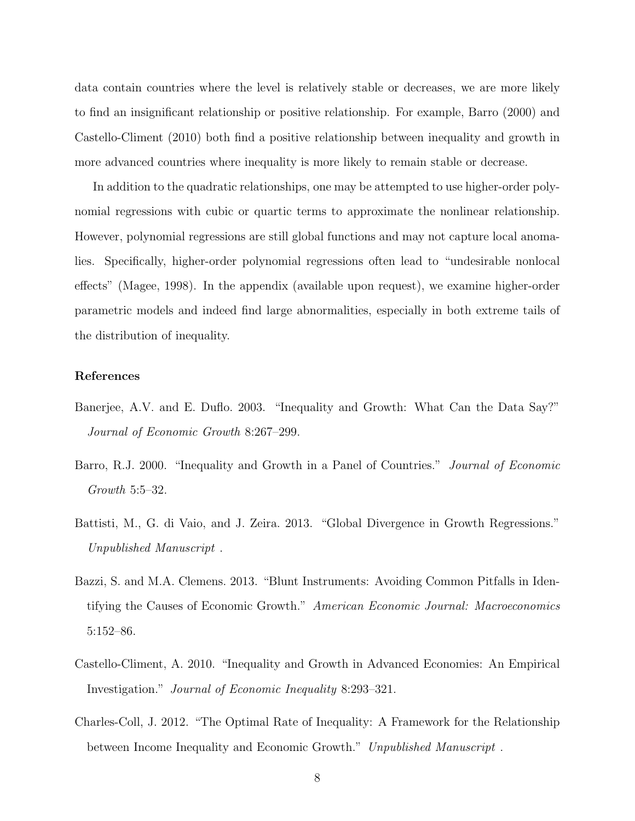data contain countries where the level is relatively stable or decreases, we are more likely to find an insignificant relationship or positive relationship. For example, Barro (2000) and Castello-Climent (2010) both find a positive relationship between inequality and growth in more advanced countries where inequality is more likely to remain stable or decrease.

In addition to the quadratic relationships, one may be attempted to use higher-order polynomial regressions with cubic or quartic terms to approximate the nonlinear relationship. However, polynomial regressions are still global functions and may not capture local anomalies. Specifically, higher-order polynomial regressions often lead to "undesirable nonlocal effects" (Magee, 1998). In the appendix (available upon request), we examine higher-order parametric models and indeed find large abnormalities, especially in both extreme tails of the distribution of inequality.

#### References

- Banerjee, A.V. and E. Duflo. 2003. "Inequality and Growth: What Can the Data Say?" Journal of Economic Growth 8:267–299.
- Barro, R.J. 2000. "Inequality and Growth in a Panel of Countries." *Journal of Economic* Growth 5:5–32.
- Battisti, M., G. di Vaio, and J. Zeira. 2013. "Global Divergence in Growth Regressions." Unpublished Manuscript .
- Bazzi, S. and M.A. Clemens. 2013. "Blunt Instruments: Avoiding Common Pitfalls in Identifying the Causes of Economic Growth." American Economic Journal: Macroeconomics 5:152–86.
- Castello-Climent, A. 2010. "Inequality and Growth in Advanced Economies: An Empirical Investigation." Journal of Economic Inequality 8:293–321.
- Charles-Coll, J. 2012. "The Optimal Rate of Inequality: A Framework for the Relationship between Income Inequality and Economic Growth." Unpublished Manuscript .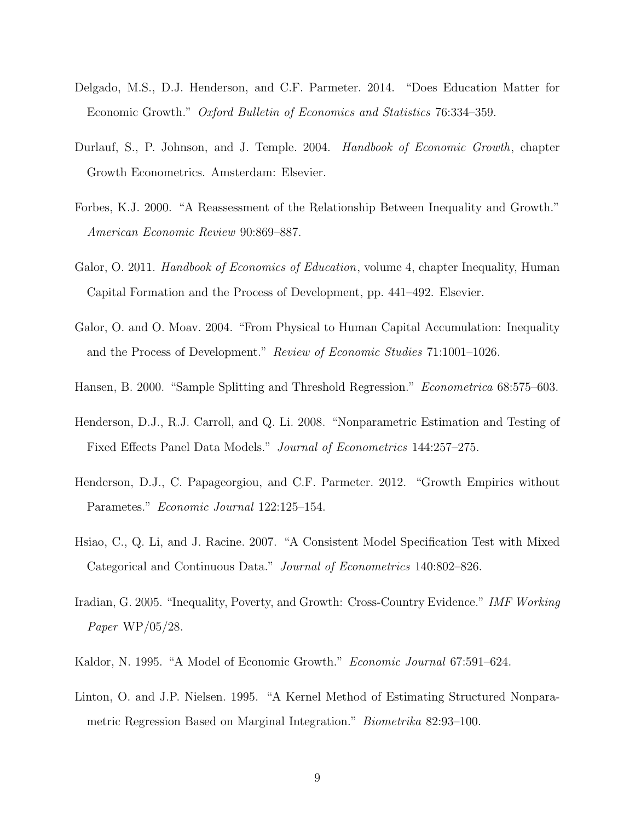- Delgado, M.S., D.J. Henderson, and C.F. Parmeter. 2014. "Does Education Matter for Economic Growth." Oxford Bulletin of Economics and Statistics 76:334–359.
- Durlauf, S., P. Johnson, and J. Temple. 2004. Handbook of Economic Growth, chapter Growth Econometrics. Amsterdam: Elsevier.
- Forbes, K.J. 2000. "A Reassessment of the Relationship Between Inequality and Growth." American Economic Review 90:869–887.
- Galor, O. 2011. *Handbook of Economics of Education*, volume 4, chapter Inequality, Human Capital Formation and the Process of Development, pp. 441–492. Elsevier.
- Galor, O. and O. Moav. 2004. "From Physical to Human Capital Accumulation: Inequality and the Process of Development." Review of Economic Studies 71:1001–1026.
- Hansen, B. 2000. "Sample Splitting and Threshold Regression." Econometrica 68:575–603.
- Henderson, D.J., R.J. Carroll, and Q. Li. 2008. "Nonparametric Estimation and Testing of Fixed Effects Panel Data Models." Journal of Econometrics 144:257–275.
- Henderson, D.J., C. Papageorgiou, and C.F. Parmeter. 2012. "Growth Empirics without Parametes." Economic Journal 122:125–154.
- Hsiao, C., Q. Li, and J. Racine. 2007. "A Consistent Model Specification Test with Mixed Categorical and Continuous Data." Journal of Econometrics 140:802–826.
- Iradian, G. 2005. "Inequality, Poverty, and Growth: Cross-Country Evidence." IMF Working Paper WP/05/28.
- Kaldor, N. 1995. "A Model of Economic Growth." Economic Journal 67:591–624.
- Linton, O. and J.P. Nielsen. 1995. "A Kernel Method of Estimating Structured Nonparametric Regression Based on Marginal Integration." Biometrika 82:93–100.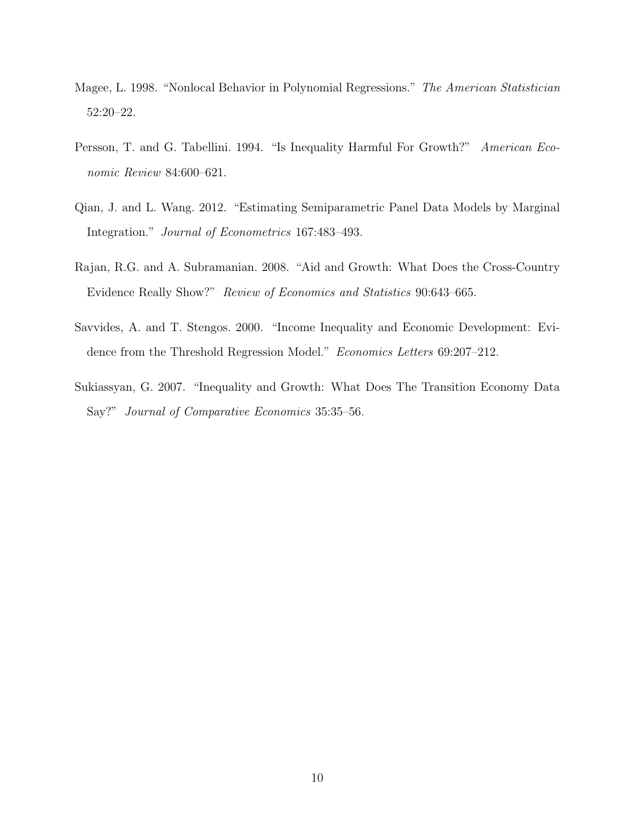- Magee, L. 1998. "Nonlocal Behavior in Polynomial Regressions." The American Statistician 52:20–22.
- Persson, T. and G. Tabellini. 1994. "Is Inequality Harmful For Growth?" American Economic Review 84:600–621.
- Qian, J. and L. Wang. 2012. "Estimating Semiparametric Panel Data Models by Marginal Integration." Journal of Econometrics 167:483–493.
- Rajan, R.G. and A. Subramanian. 2008. "Aid and Growth: What Does the Cross-Country Evidence Really Show?" Review of Economics and Statistics 90:643–665.
- Savvides, A. and T. Stengos. 2000. "Income Inequality and Economic Development: Evidence from the Threshold Regression Model." Economics Letters 69:207–212.
- Sukiassyan, G. 2007. "Inequality and Growth: What Does The Transition Economy Data Say?" Journal of Comparative Economics 35:35–56.